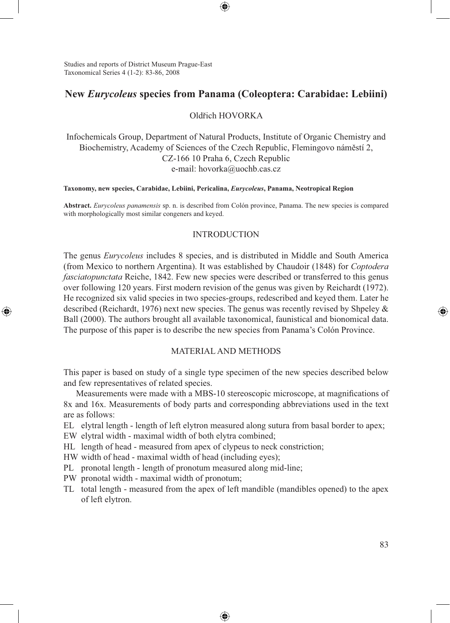Studies and reports of District Museum Prague-East Taxonomical Series 4 (1-2): 83-86, 2008

⊕

# **New** *Eurycoleus* **species from Panama (Coleoptera: Carabidae: Lebiini)**

⊕

## Oldřich HOVORKA

Infochemicals Group, Department of Natural Products, Institute of Organic Chemistry and Biochemistry, Academy of Sciences of the Czech Republic, Flemingovo náměstí 2, CZ-166 10 Praha 6, Czech Republic e-mail: hovorka@uochb.cas.cz

#### **Taxonomy, new species, Carabidae, Lebiini, Pericalina,** *Eurycoleus***, Panama, Neotropical Region**

**Abstract.** *Eurycoleus panamensis* sp. n. is described from Colón province, Panama. The new species is compared with morphologically most similar congeners and keyed.

### INTRODUCTION

The genus *Eurycoleus* includes 8 species, and is distributed in Middle and South America (from Mexico to northern Argentina). It was established by Chaudoir (1848) for *Coptodera fasciatopunctata* Reiche, 1842. Few new species were described or transferred to this genus over following 120 years. First modern revision of the genus was given by Reichardt (1972). He recognized six valid species in two species-groups, redescribed and keyed them. Later he described (Reichardt, 1976) next new species. The genus was recently revised by Shpeley & Ball (2000). The authors brought all available taxonomical, faunistical and bionomical data. The purpose of this paper is to describe the new species from Panama's Colón Province.

### MATERIAL AND METHODS

This paper is based on study of a single type specimen of the new species described below and few representatives of related species.

Measurements were made with a MBS-10 stereoscopic microscope, at magnifications of 8x and 16x. Measurements of body parts and corresponding abbreviations used in the text are as follows:

EL elytral length - length of left elytron measured along sutura from basal border to apex;

EW elytral width - maximal width of both elytra combined;

HL length of head - measured from apex of clypeus to neck constriction;

HW width of head - maximal width of head (including eyes);

PL pronotal length - length of pronotum measured along mid-line;

PW pronotal width - maximal width of pronotum;

TL total length - measured from the apex of left mandible (mandibles opened) to the apex of left elytron.

⊕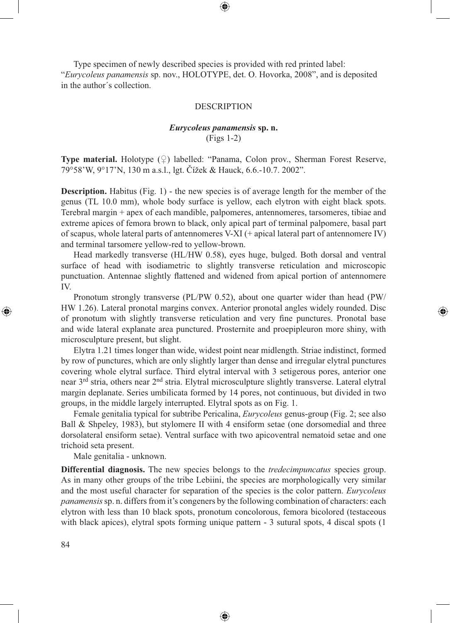⊕

Type specimen of newly described species is provided with red printed label: "*Eurycoleus panamensis* sp. nov., HOLOTYPE, det. O. Hovorka, 2008", and is deposited in the author´s collection.

#### DESCRIPTION

## *Eurycoleus panamensis* **sp. n.** (Figs 1-2)

**Type material.** Holotype  $(\varphi)$  labelled: "Panama, Colon prov., Sherman Forest Reserve, 79°58'W, 9°17'N, 130 m a.s.l., lgt. Čížek & Hauck, 6.6.-10.7. 2002".

**Description.** Habitus (Fig. 1) - the new species is of average length for the member of the genus (TL 10.0 mm), whole body surface is yellow, each elytron with eight black spots. Terebral margin + apex of each mandible, palpomeres, antennomeres, tarsomeres, tibiae and extreme apices of femora brown to black, only apical part of terminal palpomere, basal part of scapus, whole lateral parts of antennomeres V-XI (+ apical lateral part of antennomere IV) and terminal tarsomere yellow-red to yellow-brown.

Head markedly transverse (HL/HW 0.58), eyes huge, bulged. Both dorsal and ventral surface of head with isodiametric to slightly transverse reticulation and microscopic punctuation. Antennae slightly flattened and widened from apical portion of antennomere IV.

Pronotum strongly transverse (PL/PW 0.52), about one quarter wider than head (PW/ HW 1.26). Lateral pronotal margins convex. Anterior pronotal angles widely rounded. Disc of pronotum with slightly transverse reticulation and very fine punctures. Pronotal base and wide lateral explanate area punctured. Prosternite and proepipleuron more shiny, with microsculpture present, but slight.

⊕

Elytra 1.21 times longer than wide, widest point near midlength. Striae indistinct, formed by row of punctures, which are only slightly larger than dense and irregular elytral punctures covering whole elytral surface. Third elytral interval with 3 setigerous pores, anterior one near 3rd stria, others near 2nd stria. Elytral microsculpture slightly transverse. Lateral elytral margin deplanate. Series umbilicata formed by 14 pores, not continuous, but divided in two groups, in the middle largely interrupted. Elytral spots as on Fig. 1.

Female genitalia typical for subtribe Pericalina, *Eurycoleus* genus-group (Fig. 2; see also Ball & Shpeley, 1983), but stylomere II with 4 ensiform setae (one dorsomedial and three dorsolateral ensiform setae). Ventral surface with two apicoventral nematoid setae and one trichoid seta present.

Male genitalia - unknown.

**Differential diagnosis.** The new species belongs to the *tredecimpuncatus* species group. As in many other groups of the tribe Lebiini, the species are morphologically very similar and the most useful character for separation of the species is the color pattern. *Eurycoleus panamensis* sp. n. differs from it's congeners by the following combination of characters: each elytron with less than 10 black spots, pronotum concolorous, femora bicolored (testaceous with black apices), elytral spots forming unique pattern - 3 sutural spots, 4 discal spots (1

⊕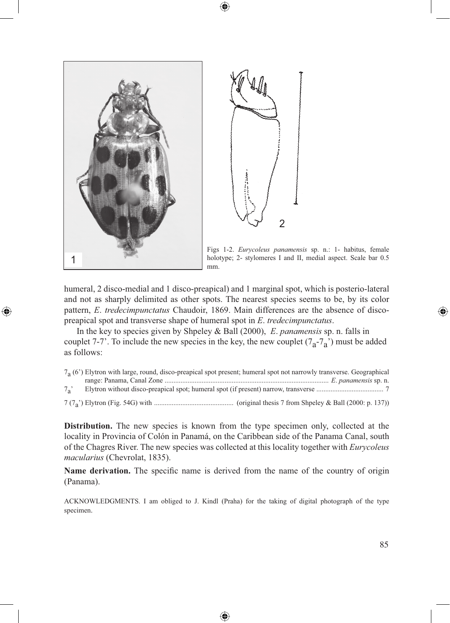

⊕



Figs 1-2. *Eurycoleus panamensis* sp. n.: 1- habitus, female holotype; 2- stylomeres I and II, medial aspect. Scale bar 0.5

humeral, 2 disco-medial and 1 disco-preapical) and 1 marginal spot, which is posterio-lateral and not as sharply delimited as other spots. The nearest species seems to be, by its color pattern, *E*. *tredecimpunctatus* Chaudoir, 1869. Main differences are the absence of discopreapical spot and transverse shape of humeral spot in *E*. *tredecimpunctatus*.

⊕

In the key to species given by Shpeley & Ball (2000), *E*. *panamensis* sp. n. falls in couplet 7-7'. To include the new species in the key, the new couplet  $(7<sub>a</sub>-7<sub>a</sub>)$  must be added as follows:

|            | $7a$ (6 <sup>o</sup> ) Elytron with large, round, disco-preapical spot present; humeral spot not narrowly transverse. Geographical |
|------------|------------------------------------------------------------------------------------------------------------------------------------|
|            |                                                                                                                                    |
| $7\degree$ |                                                                                                                                    |
|            |                                                                                                                                    |

**Distribution.** The new species is known from the type specimen only, collected at the locality in Provincia of Colón in Panamá, on the Caribbean side of the Panama Canal, south of the Chagres River. The new species was collected at this locality together with *Eurycoleus macularius* (Chevrolat, 1835).

**Name derivation.** The specific name is derived from the name of the country of origin (Panama).

ACKNOWLEDGMENTS. I am obliged to J. Kindl (Praha) for the taking of digital photograph of the type specimen.